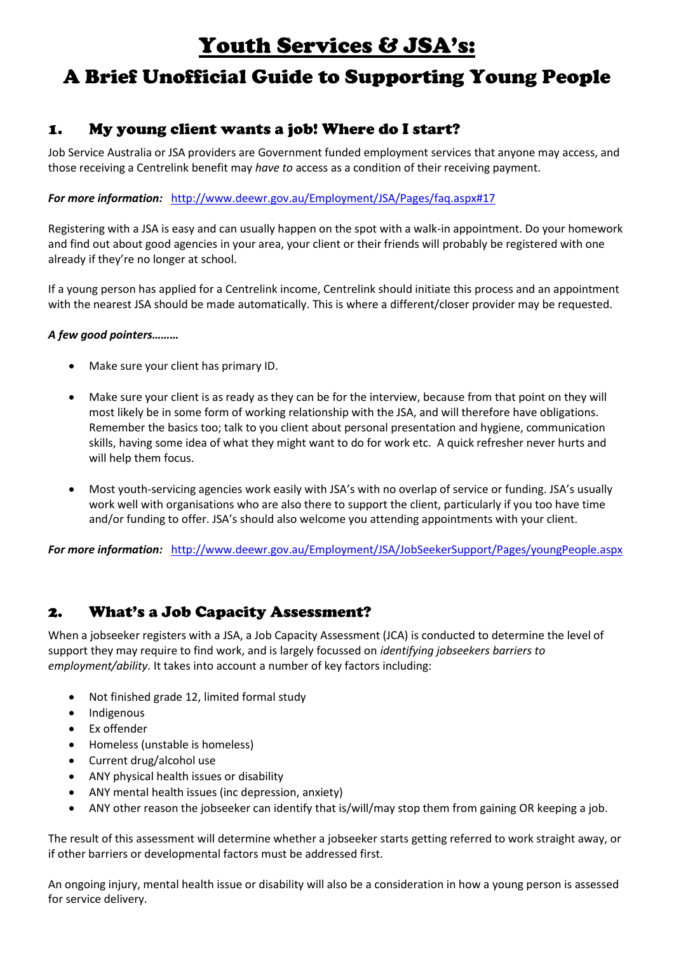# Youth Services & JSA's:

# A Brief Unofficial Guide to Supporting Young People

### 1. My young client wants a job! Where do I start?

Job Service Australia or JSA providers are Government funded employment services that anyone may access, and those receiving a Centrelink benefit may *have to* access as a condition of their receiving payment.

#### *For more information:* <http://www.deewr.gov.au/Employment/JSA/Pages/faq.aspx#17>

Registering with a JSA is easy and can usually happen on the spot with a walk-in appointment. Do your homework and find out about good agencies in your area, your client or their friends will probably be registered with one already if they're no longer at school.

If a young person has applied for a Centrelink income, Centrelink should initiate this process and an appointment with the nearest JSA should be made automatically. This is where a different/closer provider may be requested.

#### *A few good pointers………*

- Make sure your client has primary ID.
- Make sure your client is as ready as they can be for the interview, because from that point on they will most likely be in some form of working relationship with the JSA, and will therefore have obligations. Remember the basics too; talk to you client about personal presentation and hygiene, communication skills, having some idea of what they might want to do for work etc. A quick refresher never hurts and will help them focus.
- Most youth-servicing agencies work easily with JSA's with no overlap of service or funding. JSA's usually work well with organisations who are also there to support the client, particularly if you too have time and/or funding to offer. JSA's should also welcome you attending appointments with your client.

*For more information:* <http://www.deewr.gov.au/Employment/JSA/JobSeekerSupport/Pages/youngPeople.aspx>

### 2. What's a Job Capacity Assessment?

When a jobseeker registers with a JSA, a Job Capacity Assessment (JCA) is conducted to determine the level of support they may require to find work, and is largely focussed on *identifying jobseekers barriers to employment/ability*. It takes into account a number of key factors including:

- Not finished grade 12, limited formal study
- Indigenous
- Ex offender
- Homeless (unstable is homeless)
- Current drug/alcohol use
- ANY physical health issues or disability
- ANY mental health issues (inc depression, anxiety)
- ANY other reason the jobseeker can identify that is/will/may stop them from gaining OR keeping a job.

The result of this assessment will determine whether a jobseeker starts getting referred to work straight away, or if other barriers or developmental factors must be addressed first.

An ongoing injury, mental health issue or disability will also be a consideration in how a young person is assessed for service delivery.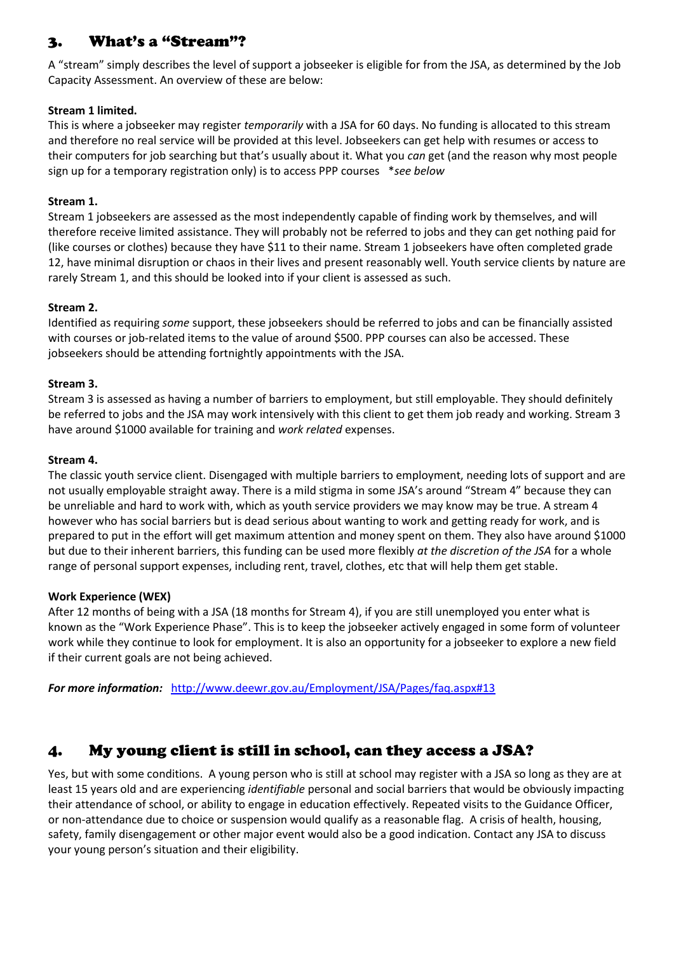#### 3. What's a "Stream"?

A "stream" simply describes the level of support a jobseeker is eligible for from the JSA, as determined by the Job Capacity Assessment. An overview of these are below:

#### **Stream 1 limited.**

This is where a jobseeker may register *temporarily* with a JSA for 60 days. No funding is allocated to this stream and therefore no real service will be provided at this level. Jobseekers can get help with resumes or access to their computers for job searching but that's usually about it. What you *can* get (and the reason why most people sign up for a temporary registration only) is to access PPP courses \**see below*

#### **Stream 1.**

Stream 1 jobseekers are assessed as the most independently capable of finding work by themselves, and will therefore receive limited assistance. They will probably not be referred to jobs and they can get nothing paid for (like courses or clothes) because they have \$11 to their name. Stream 1 jobseekers have often completed grade 12, have minimal disruption or chaos in their lives and present reasonably well. Youth service clients by nature are rarely Stream 1, and this should be looked into if your client is assessed as such.

#### **Stream 2.**

Identified as requiring *some* support, these jobseekers should be referred to jobs and can be financially assisted with courses or job-related items to the value of around \$500. PPP courses can also be accessed. These jobseekers should be attending fortnightly appointments with the JSA.

#### **Stream 3.**

Stream 3 is assessed as having a number of barriers to employment, but still employable. They should definitely be referred to jobs and the JSA may work intensively with this client to get them job ready and working. Stream 3 have around \$1000 available for training and *work related* expenses.

#### **Stream 4.**

The classic youth service client. Disengaged with multiple barriers to employment, needing lots of support and are not usually employable straight away. There is a mild stigma in some JSA's around "Stream 4" because they can be unreliable and hard to work with, which as youth service providers we may know may be true. A stream 4 however who has social barriers but is dead serious about wanting to work and getting ready for work, and is prepared to put in the effort will get maximum attention and money spent on them. They also have around \$1000 but due to their inherent barriers, this funding can be used more flexibly *at the discretion of the JSA* for a whole range of personal support expenses, including rent, travel, clothes, etc that will help them get stable.

#### **Work Experience (WEX)**

After 12 months of being with a JSA (18 months for Stream 4), if you are still unemployed you enter what is known as the "Work Experience Phase". This is to keep the jobseeker actively engaged in some form of volunteer work while they continue to look for employment. It is also an opportunity for a jobseeker to explore a new field if their current goals are not being achieved.

*For more information:* <http://www.deewr.gov.au/Employment/JSA/Pages/faq.aspx#13>

### 4. My young client is still in school, can they access a JSA?

Yes, but with some conditions. A young person who is still at school may register with a JSA so long as they are at least 15 years old and are experiencing *identifiable* personal and social barriers that would be obviously impacting their attendance of school, or ability to engage in education effectively. Repeated visits to the Guidance Officer, or non-attendance due to choice or suspension would qualify as a reasonable flag. A crisis of health, housing, safety, family disengagement or other major event would also be a good indication. Contact any JSA to discuss your young person's situation and their eligibility.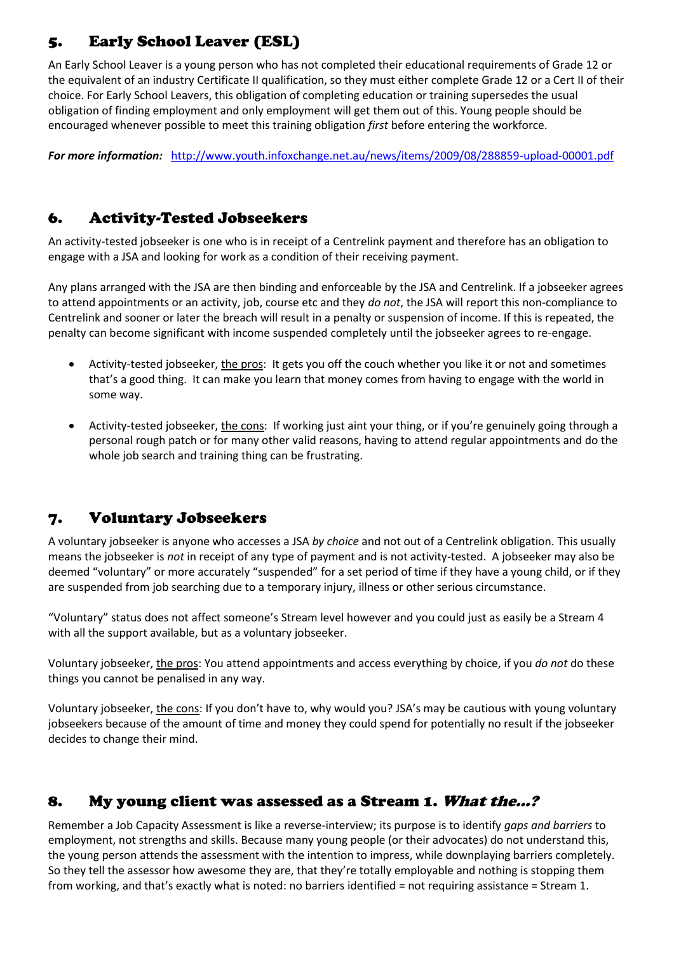# 5. Early School Leaver (ESL)

An Early School Leaver is a young person who has not completed their educational requirements of Grade 12 or the equivalent of an industry Certificate II qualification, so they must either complete Grade 12 or a Cert II of their choice. For Early School Leavers, this obligation of completing education or training supersedes the usual obligation of finding employment and only employment will get them out of this. Young people should be encouraged whenever possible to meet this training obligation *first* before entering the workforce.

*For more information:* <http://www.youth.infoxchange.net.au/news/items/2009/08/288859-upload-00001.pdf>

### 6. Activity-Tested Jobseekers

An activity-tested jobseeker is one who is in receipt of a Centrelink payment and therefore has an obligation to engage with a JSA and looking for work as a condition of their receiving payment.

Any plans arranged with the JSA are then binding and enforceable by the JSA and Centrelink. If a jobseeker agrees to attend appointments or an activity, job, course etc and they *do not*, the JSA will report this non-compliance to Centrelink and sooner or later the breach will result in a penalty or suspension of income. If this is repeated, the penalty can become significant with income suspended completely until the jobseeker agrees to re-engage.

- Activity-tested jobseeker, the pros: It gets you off the couch whether you like it or not and sometimes that's a good thing. It can make you learn that money comes from having to engage with the world in some way.
- Activity-tested jobseeker, the cons: If working just aint your thing, or if you're genuinely going through a personal rough patch or for many other valid reasons, having to attend regular appointments and do the whole job search and training thing can be frustrating.

### 7. Voluntary Jobseekers

A voluntary jobseeker is anyone who accesses a JSA *by choice* and not out of a Centrelink obligation. This usually means the jobseeker is *not* in receipt of any type of payment and is not activity-tested. A jobseeker may also be deemed "voluntary" or more accurately "suspended" for a set period of time if they have a young child, or if they are suspended from job searching due to a temporary injury, illness or other serious circumstance.

"Voluntary" status does not affect someone's Stream level however and you could just as easily be a Stream 4 with all the support available, but as a voluntary jobseeker.

Voluntary jobseeker, the pros: You attend appointments and access everything by choice, if you *do not* do these things you cannot be penalised in any way.

Voluntary jobseeker, the cons: If you don't have to, why would you? JSA's may be cautious with young voluntary jobseekers because of the amount of time and money they could spend for potentially no result if the jobseeker decides to change their mind.

### 8. My young client was assessed as a Stream 1. What the...?

Remember a Job Capacity Assessment is like a reverse-interview; its purpose is to identify *gaps and barriers* to employment, not strengths and skills. Because many young people (or their advocates) do not understand this, the young person attends the assessment with the intention to impress, while downplaying barriers completely. So they tell the assessor how awesome they are, that they're totally employable and nothing is stopping them from working, and that's exactly what is noted: no barriers identified = not requiring assistance = Stream 1.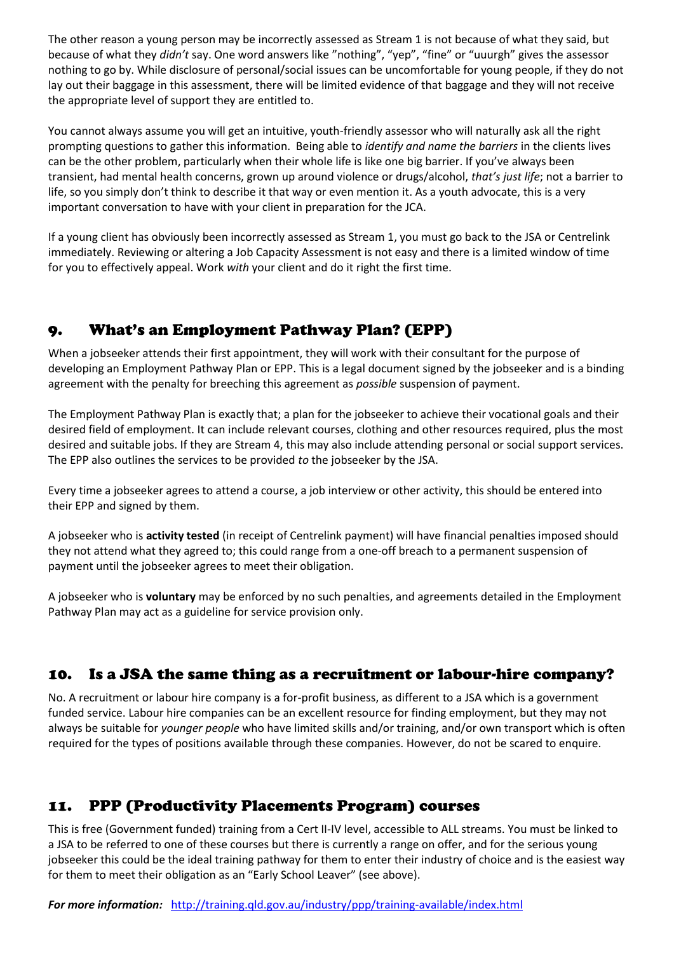The other reason a young person may be incorrectly assessed as Stream 1 is not because of what they said, but because of what they *didn't* say. One word answers like "nothing", "yep", "fine" or "uuurgh" gives the assessor nothing to go by. While disclosure of personal/social issues can be uncomfortable for young people, if they do not lay out their baggage in this assessment, there will be limited evidence of that baggage and they will not receive the appropriate level of support they are entitled to.

You cannot always assume you will get an intuitive, youth-friendly assessor who will naturally ask all the right prompting questions to gather this information. Being able to *identify and name the barriers* in the clients lives can be the other problem, particularly when their whole life is like one big barrier. If you've always been transient, had mental health concerns, grown up around violence or drugs/alcohol, *that's just life*; not a barrier to life, so you simply don't think to describe it that way or even mention it. As a youth advocate, this is a very important conversation to have with your client in preparation for the JCA.

If a young client has obviously been incorrectly assessed as Stream 1, you must go back to the JSA or Centrelink immediately. Reviewing or altering a Job Capacity Assessment is not easy and there is a limited window of time for you to effectively appeal. Work *with* your client and do it right the first time.

# 9. What's an Employment Pathway Plan? (EPP)

When a jobseeker attends their first appointment, they will work with their consultant for the purpose of developing an Employment Pathway Plan or EPP. This is a legal document signed by the jobseeker and is a binding agreement with the penalty for breeching this agreement as *possible* suspension of payment.

The Employment Pathway Plan is exactly that; a plan for the jobseeker to achieve their vocational goals and their desired field of employment. It can include relevant courses, clothing and other resources required, plus the most desired and suitable jobs. If they are Stream 4, this may also include attending personal or social support services. The EPP also outlines the services to be provided *to* the jobseeker by the JSA.

Every time a jobseeker agrees to attend a course, a job interview or other activity, this should be entered into their EPP and signed by them.

A jobseeker who is **activity tested** (in receipt of Centrelink payment) will have financial penalties imposed should they not attend what they agreed to; this could range from a one-off breach to a permanent suspension of payment until the jobseeker agrees to meet their obligation.

A jobseeker who is **voluntary** may be enforced by no such penalties, and agreements detailed in the Employment Pathway Plan may act as a guideline for service provision only.

## 10. Is a JSA the same thing as a recruitment or labour-hire company?

No. A recruitment or labour hire company is a for-profit business, as different to a JSA which is a government funded service. Labour hire companies can be an excellent resource for finding employment, but they may not always be suitable for *younger people* who have limited skills and/or training, and/or own transport which is often required for the types of positions available through these companies. However, do not be scared to enquire.

## 11. PPP (Productivity Placements Program) courses

This is free (Government funded) training from a Cert II-IV level, accessible to ALL streams. You must be linked to a JSA to be referred to one of these courses but there is currently a range on offer, and for the serious young jobseeker this could be the ideal training pathway for them to enter their industry of choice and is the easiest way for them to meet their obligation as an "Early School Leaver" (see above).

*For more information:* <http://training.qld.gov.au/industry/ppp/training-available/index.html>